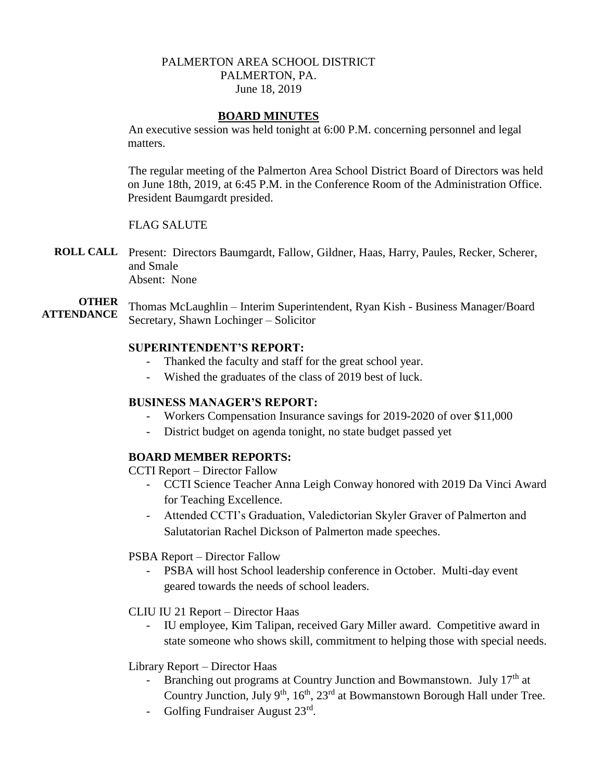## PALMERTON AREA SCHOOL DISTRICT PALMERTON, PA. June 18, 2019

## **BOARD MINUTES**

An executive session was held tonight at 6:00 P.M. concerning personnel and legal matters.

The regular meeting of the Palmerton Area School District Board of Directors was held on June 18th, 2019, at 6:45 P.M. in the Conference Room of the Administration Office. President Baumgardt presided.

## FLAG SALUTE

**ROLL CALL** Present: Directors Baumgardt, Fallow, Gildner, Haas, Harry, Paules, Recker, Scherer, and Smale Absent: None

**OTHER ATTENDANCE** Thomas McLaughlin – Interim Superintendent, Ryan Kish - Business Manager/Board Secretary, Shawn Lochinger – Solicitor

## **SUPERINTENDENT'S REPORT:**

- Thanked the faculty and staff for the great school year.
- Wished the graduates of the class of 2019 best of luck.

## **BUSINESS MANAGER'S REPORT:**

- Workers Compensation Insurance savings for 2019-2020 of over \$11,000
- District budget on agenda tonight, no state budget passed yet

## **BOARD MEMBER REPORTS:**

CCTI Report – Director Fallow

- CCTI Science Teacher Anna Leigh Conway honored with 2019 Da Vinci Award for Teaching Excellence.
- Attended CCTI's Graduation, Valedictorian Skyler Graver of Palmerton and Salutatorian Rachel Dickson of Palmerton made speeches.

PSBA Report – Director Fallow

- PSBA will host School leadership conference in October. Multi-day event geared towards the needs of school leaders.

#### CLIU IU 21 Report – Director Haas

- IU employee, Kim Talipan, received Gary Miller award. Competitive award in state someone who shows skill, commitment to helping those with special needs.

#### Library Report – Director Haas

- Branching out programs at Country Junction and Bowmanstown. July 17<sup>th</sup> at Country Junction, July 9<sup>th</sup>, 16<sup>th</sup>, 23<sup>rd</sup> at Bowmanstown Borough Hall under Tree.
- Golfing Fundraiser August 23rd.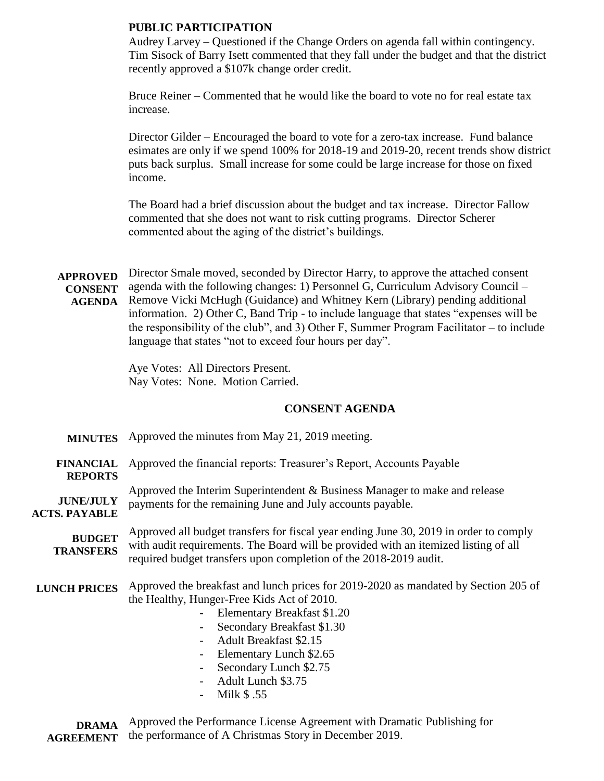## **PUBLIC PARTICIPATION**

Audrey Larvey – Questioned if the Change Orders on agenda fall within contingency. Tim Sisock of Barry Isett commented that they fall under the budget and that the district recently approved a \$107k change order credit.

Bruce Reiner – Commented that he would like the board to vote no for real estate tax increase.

Director Gilder – Encouraged the board to vote for a zero-tax increase. Fund balance esimates are only if we spend 100% for 2018-19 and 2019-20, recent trends show district puts back surplus. Small increase for some could be large increase for those on fixed income.

The Board had a brief discussion about the budget and tax increase. Director Fallow commented that she does not want to risk cutting programs. Director Scherer commented about the aging of the district's buildings.

**APPROVED CONSENT AGENDA** Director Smale moved, seconded by Director Harry, to approve the attached consent agenda with the following changes: 1) Personnel G, Curriculum Advisory Council – Remove Vicki McHugh (Guidance) and Whitney Kern (Library) pending additional information. 2) Other C, Band Trip - to include language that states "expenses will be the responsibility of the club", and 3) Other F, Summer Program Facilitator – to include language that states "not to exceed four hours per day".

> Aye Votes: All Directors Present. Nay Votes: None. Motion Carried.

## **CONSENT AGENDA**

**MINUTES** Approved the minutes from May 21, 2019 meeting.

**FINANCIAL REPORTS** Approved the financial reports: Treasurer's Report, Accounts Payable

**JUNE/JULY ACTS. PAYABLE** Approved the Interim Superintendent & Business Manager to make and release payments for the remaining June and July accounts payable.

**BUDGET TRANSFERS** Approved all budget transfers for fiscal year ending June 30, 2019 in order to comply with audit requirements. The Board will be provided with an itemized listing of all required budget transfers upon completion of the 2018-2019 audit.

**LUNCH PRICES** Approved the breakfast and lunch prices for 2019-2020 as mandated by Section 205 of the Healthy, Hunger-Free Kids Act of 2010.

- Elementary Breakfast \$1.20
- Secondary Breakfast \$1.30
- Adult Breakfast \$2.15
- Elementary Lunch \$2.65
- Secondary Lunch \$2.75
- Adult Lunch \$3.75
- Milk \$ .55

**DRAMA AGREEMENT** Approved the Performance License Agreement with Dramatic Publishing for the performance of A Christmas Story in December 2019.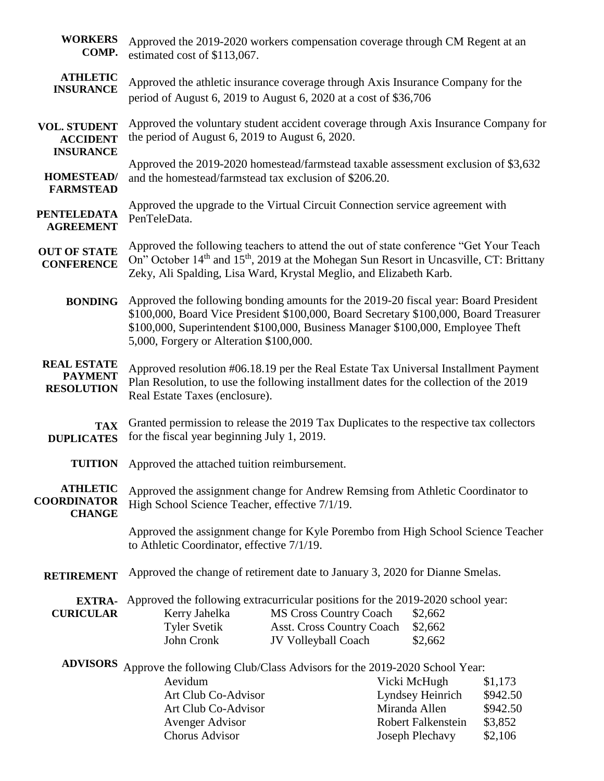| <b>WORKERS</b><br>COMP.                                    | Approved the 2019-2020 workers compensation coverage through CM Regent at an<br>estimated cost of \$113,067.                                                                                                                                                                                               |                                                                                                                                                     |  |                                                                                            |                                                       |
|------------------------------------------------------------|------------------------------------------------------------------------------------------------------------------------------------------------------------------------------------------------------------------------------------------------------------------------------------------------------------|-----------------------------------------------------------------------------------------------------------------------------------------------------|--|--------------------------------------------------------------------------------------------|-------------------------------------------------------|
| <b>ATHLETIC</b><br><b>INSURANCE</b>                        |                                                                                                                                                                                                                                                                                                            | Approved the athletic insurance coverage through Axis Insurance Company for the<br>period of August 6, 2019 to August 6, 2020 at a cost of \$36,706 |  |                                                                                            |                                                       |
| <b>VOL. STUDENT</b><br><b>ACCIDENT</b><br><b>INSURANCE</b> | Approved the voluntary student accident coverage through Axis Insurance Company for<br>the period of August 6, 2019 to August 6, 2020.                                                                                                                                                                     |                                                                                                                                                     |  |                                                                                            |                                                       |
| <b>HOMESTEAD/</b><br><b>FARMSTEAD</b>                      | Approved the 2019-2020 homestead/farmstead taxable assessment exclusion of \$3,632<br>and the homestead/farmstead tax exclusion of \$206.20.                                                                                                                                                               |                                                                                                                                                     |  |                                                                                            |                                                       |
| <b>PENTELEDATA</b><br><b>AGREEMENT</b>                     | Approved the upgrade to the Virtual Circuit Connection service agreement with<br>PenTeleData.                                                                                                                                                                                                              |                                                                                                                                                     |  |                                                                                            |                                                       |
| <b>OUT OF STATE</b><br><b>CONFERENCE</b>                   | Approved the following teachers to attend the out of state conference "Get Your Teach<br>On" October 14 <sup>th</sup> and 15 <sup>th</sup> , 2019 at the Mohegan Sun Resort in Uncasville, CT: Brittany<br>Zeky, Ali Spalding, Lisa Ward, Krystal Meglio, and Elizabeth Karb.                              |                                                                                                                                                     |  |                                                                                            |                                                       |
| <b>BONDING</b>                                             | Approved the following bonding amounts for the 2019-20 fiscal year: Board President<br>\$100,000, Board Vice President \$100,000, Board Secretary \$100,000, Board Treasurer<br>\$100,000, Superintendent \$100,000, Business Manager \$100,000, Employee Theft<br>5,000, Forgery or Alteration \$100,000. |                                                                                                                                                     |  |                                                                                            |                                                       |
| <b>REAL ESTATE</b><br><b>PAYMENT</b><br><b>RESOLUTION</b>  | Approved resolution #06.18.19 per the Real Estate Tax Universal Installment Payment<br>Plan Resolution, to use the following installment dates for the collection of the 2019<br>Real Estate Taxes (enclosure).                                                                                            |                                                                                                                                                     |  |                                                                                            |                                                       |
| <b>TAX</b><br><b>DUPLICATES</b>                            | Granted permission to release the 2019 Tax Duplicates to the respective tax collectors<br>for the fiscal year beginning July 1, 2019.                                                                                                                                                                      |                                                                                                                                                     |  |                                                                                            |                                                       |
| <b>TUITION</b>                                             | Approved the attached tuition reimbursement.                                                                                                                                                                                                                                                               |                                                                                                                                                     |  |                                                                                            |                                                       |
| <b>ATHLETIC</b><br><b>COORDINATOR</b><br><b>CHANGE</b>     | Approved the assignment change for Andrew Remsing from Athletic Coordinator to<br>High School Science Teacher, effective 7/1/19.                                                                                                                                                                           |                                                                                                                                                     |  |                                                                                            |                                                       |
|                                                            | Approved the assignment change for Kyle Porembo from High School Science Teacher<br>to Athletic Coordinator, effective 7/1/19.                                                                                                                                                                             |                                                                                                                                                     |  |                                                                                            |                                                       |
| <b>RETIREMENT</b>                                          | Approved the change of retirement date to January 3, 2020 for Dianne Smelas.                                                                                                                                                                                                                               |                                                                                                                                                     |  |                                                                                            |                                                       |
| <b>EXTRA-</b><br><b>CURICULAR</b>                          | Approved the following extracurricular positions for the 2019-2020 school year:<br>Kerry Jahelka<br><b>Tyler Svetik</b><br>John Cronk                                                                                                                                                                      | <b>MS Cross Country Coach</b><br>Asst. Cross Country Coach<br>JV Volleyball Coach                                                                   |  | \$2,662<br>\$2,662<br>\$2,662                                                              |                                                       |
| <b>ADVISORS</b>                                            | Approve the following Club/Class Advisors for the 2019-2020 School Year:<br>Aevidum<br>Art Club Co-Advisor<br>Art Club Co-Advisor<br><b>Avenger Advisor</b><br><b>Chorus Advisor</b>                                                                                                                       |                                                                                                                                                     |  | Vicki McHugh<br>Lyndsey Heinrich<br>Miranda Allen<br>Robert Falkenstein<br>Joseph Plechavy | \$1,173<br>\$942.50<br>\$942.50<br>\$3,852<br>\$2,106 |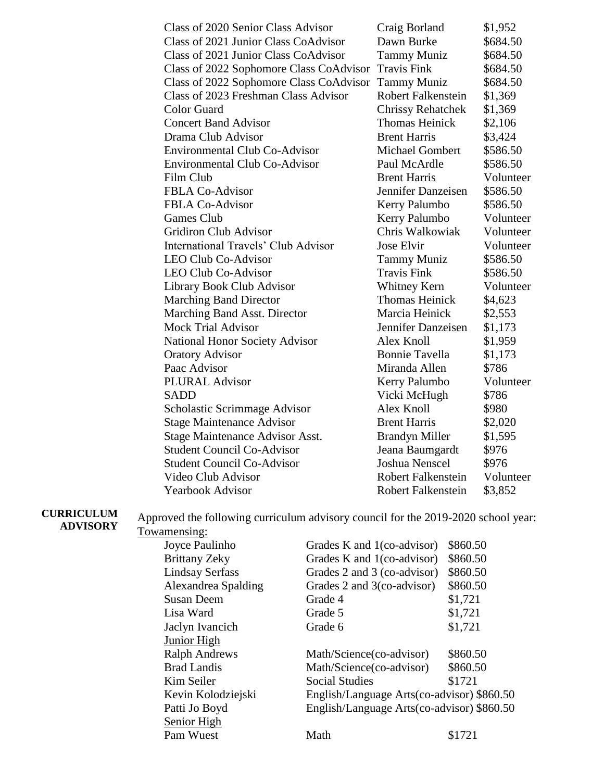| Class of 2020 Senior Class Advisor         | Craig Borland             | \$1,952   |
|--------------------------------------------|---------------------------|-----------|
| Class of 2021 Junior Class CoAdvisor       | Dawn Burke                | \$684.50  |
| Class of 2021 Junior Class CoAdvisor       | <b>Tammy Muniz</b>        | \$684.50  |
| Class of 2022 Sophomore Class CoAdvisor    | <b>Travis Fink</b>        | \$684.50  |
| Class of 2022 Sophomore Class CoAdvisor    | <b>Tammy Muniz</b>        | \$684.50  |
| Class of 2023 Freshman Class Advisor       | <b>Robert Falkenstein</b> | \$1,369   |
| <b>Color Guard</b>                         | <b>Chrissy Rehatchek</b>  | \$1,369   |
| <b>Concert Band Advisor</b>                | <b>Thomas Heinick</b>     | \$2,106   |
| Drama Club Advisor                         | <b>Brent Harris</b>       | \$3,424   |
| <b>Environmental Club Co-Advisor</b>       | <b>Michael Gombert</b>    | \$586.50  |
| <b>Environmental Club Co-Advisor</b>       | Paul McArdle              | \$586.50  |
| Film Club                                  | <b>Brent Harris</b>       | Volunteer |
| <b>FBLA Co-Advisor</b>                     | Jennifer Danzeisen        | \$586.50  |
| <b>FBLA Co-Advisor</b>                     | Kerry Palumbo             | \$586.50  |
| Games Club                                 | Kerry Palumbo             | Volunteer |
| <b>Gridiron Club Advisor</b>               | Chris Walkowiak           | Volunteer |
| <b>International Travels' Club Advisor</b> | Jose Elvir                | Volunteer |
| <b>LEO Club Co-Advisor</b>                 | <b>Tammy Muniz</b>        | \$586.50  |
| <b>LEO Club Co-Advisor</b>                 | <b>Travis Fink</b>        | \$586.50  |
| Library Book Club Advisor                  | Whitney Kern              | Volunteer |
| <b>Marching Band Director</b>              | <b>Thomas Heinick</b>     | \$4,623   |
| Marching Band Asst. Director               | Marcia Heinick            | \$2,553   |
| <b>Mock Trial Advisor</b>                  | Jennifer Danzeisen        | \$1,173   |
| <b>National Honor Society Advisor</b>      | Alex Knoll                | \$1,959   |
| <b>Oratory Advisor</b>                     | <b>Bonnie Tavella</b>     | \$1,173   |
| Paac Advisor                               | Miranda Allen             | \$786     |
| PLURAL Advisor                             | Kerry Palumbo             | Volunteer |
| <b>SADD</b>                                | Vicki McHugh              | \$786     |
| Scholastic Scrimmage Advisor               | Alex Knoll                | \$980     |
| <b>Stage Maintenance Advisor</b>           | <b>Brent Harris</b>       | \$2,020   |
| Stage Maintenance Advisor Asst.            | <b>Brandyn Miller</b>     | \$1,595   |
| <b>Student Council Co-Advisor</b>          | Jeana Baumgardt           | \$976     |
| <b>Student Council Co-Advisor</b>          | <b>Joshua Nenscel</b>     | \$976     |
| Video Club Advisor                         | <b>Robert Falkenstein</b> | Volunteer |
| <b>Yearbook Advisor</b>                    | <b>Robert Falkenstein</b> | \$3,852   |
|                                            |                           |           |

**CURRICULUM ADVISORY**

Approved the following curriculum advisory council for the 2019-2020 school year: Towamensing:

| Joyce Paulinho         | Grades K and 1(co-advisor)                 | \$860.50 |  |
|------------------------|--------------------------------------------|----------|--|
| <b>Brittany Zeky</b>   | Grades K and 1(co-advisor)                 | \$860.50 |  |
| <b>Lindsay Serfass</b> | Grades 2 and 3 (co-advisor)                | \$860.50 |  |
| Alexandrea Spalding    | Grades 2 and 3(co-advisor)                 | \$860.50 |  |
| <b>Susan Deem</b>      | Grade 4                                    | \$1,721  |  |
| Lisa Ward              | Grade 5                                    | \$1,721  |  |
| Jaclyn Ivancich        | Grade 6                                    | \$1,721  |  |
| Junior High            |                                            |          |  |
| <b>Ralph Andrews</b>   | Math/Science(co-advisor)                   | \$860.50 |  |
| <b>Brad Landis</b>     | Math/Science(co-advisor)                   | \$860.50 |  |
| Kim Seiler             | <b>Social Studies</b>                      | \$1721   |  |
| Kevin Kolodziejski     | English/Language Arts(co-advisor) \$860.50 |          |  |
| Patti Jo Boyd          | English/Language Arts(co-advisor) \$860.50 |          |  |
| Senior High            |                                            |          |  |
| Pam Wuest              | Math                                       | \$1721   |  |
|                        |                                            |          |  |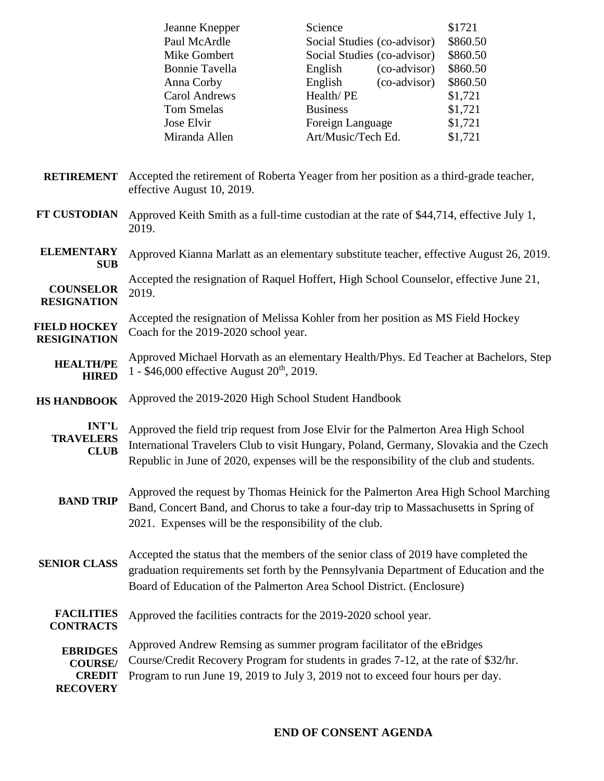| Jeanne Knepper                       | Science   |                             | \$1721   |
|--------------------------------------|-----------|-----------------------------|----------|
| Paul McArdle                         |           | Social Studies (co-advisor) |          |
| Mike Gombert                         |           | Social Studies (co-advisor) |          |
| <b>Bonnie Tavella</b>                | English   | (co-advisor)                | \$860.50 |
| Anna Corby                           | English   | (co-advisor)                | \$860.50 |
| <b>Carol Andrews</b>                 | Health/PE |                             |          |
| <b>Tom Smelas</b><br><b>Business</b> |           |                             | \$1,721  |
| Jose Elvir                           |           | Foreign Language            |          |
| Miranda Allen                        |           | Art/Music/Tech Ed.          |          |
|                                      |           |                             |          |

- **RETIREMENT** Accepted the retirement of Roberta Yeager from her position as a third-grade teacher, effective August 10, 2019.
- **FT CUSTODIAN** Approved Keith Smith as a full-time custodian at the rate of \$44,714, effective July 1, 2019.
- **ELEMENTARY SUB** Approved Kianna Marlatt as an elementary substitute teacher, effective August 26, 2019.

**COUNSELOR RESIGNATION** Accepted the resignation of Raquel Hoffert, High School Counselor, effective June 21, 2019.

**FIELD HOCKEY RESIGINATION** Accepted the resignation of Melissa Kohler from her position as MS Field Hockey Coach for the 2019-2020 school year.

- **HEALTH/PE HIRED** Approved Michael Horvath as an elementary Health/Phys. Ed Teacher at Bachelors, Step 1 -  $$46,000$  effective August  $20<sup>th</sup>$ , 2019.
- **HS HANDBOOK** Approved the 2019-2020 High School Student Handbook

**INT'L TRAVELERS CLUB** Approved the field trip request from Jose Elvir for the Palmerton Area High School International Travelers Club to visit Hungary, Poland, Germany, Slovakia and the Czech Republic in June of 2020, expenses will be the responsibility of the club and students.

- **BAND TRIP** Approved the request by Thomas Heinick for the Palmerton Area High School Marching Band, Concert Band, and Chorus to take a four-day trip to Massachusetts in Spring of 2021. Expenses will be the responsibility of the club.
- **SENIOR CLASS** Accepted the status that the members of the senior class of 2019 have completed the graduation requirements set forth by the Pennsylvania Department of Education and the Board of Education of the Palmerton Area School District. (Enclosure)

**FACILITIES**  Approved the facilities contracts for the 2019-2020 school year.

**CONTRACTS**

**EBRIDGES COURSE/ CREDIT RECOVERY** Approved Andrew Remsing as summer program facilitator of the eBridges Course/Credit Recovery Program for students in grades 7-12, at the rate of \$32/hr. Program to run June 19, 2019 to July 3, 2019 not to exceed four hours per day.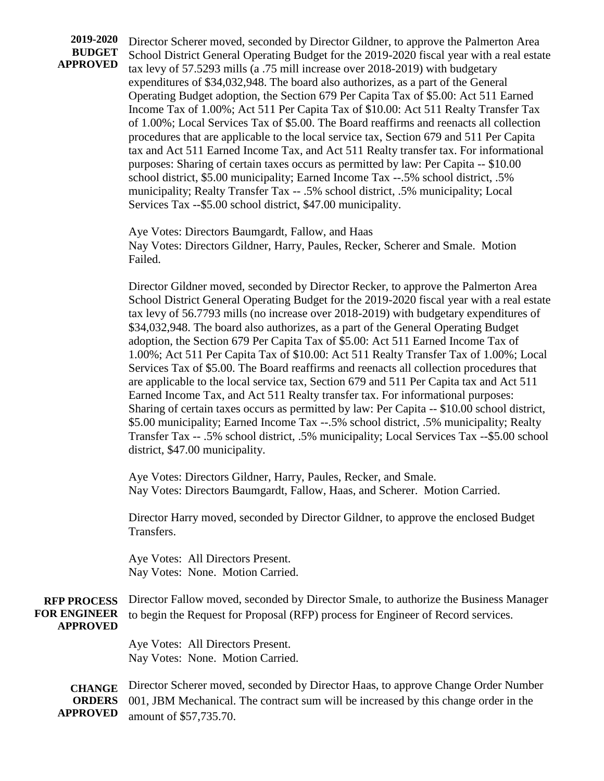**2019-2020 BUDGET APPROVED**

Director Scherer moved, seconded by Director Gildner, to approve the Palmerton Area School District General Operating Budget for the 2019-2020 fiscal year with a real estate tax levy of 57.5293 mills (a .75 mill increase over 2018-2019) with budgetary expenditures of \$34,032,948. The board also authorizes, as a part of the General Operating Budget adoption, the Section 679 Per Capita Tax of \$5.00: Act 511 Earned Income Tax of 1.00%; Act 511 Per Capita Tax of \$10.00: Act 511 Realty Transfer Tax of 1.00%; Local Services Tax of \$5.00. The Board reaffirms and reenacts all collection procedures that are applicable to the local service tax, Section 679 and 511 Per Capita tax and Act 511 Earned Income Tax, and Act 511 Realty transfer tax. For informational purposes: Sharing of certain taxes occurs as permitted by law: Per Capita -- \$10.00 school district, \$5.00 municipality; Earned Income Tax --.5% school district, .5% municipality; Realty Transfer Tax -- .5% school district, .5% municipality; Local Services Tax --\$5.00 school district, \$47.00 municipality.

Aye Votes: Directors Baumgardt, Fallow, and Haas Nay Votes: Directors Gildner, Harry, Paules, Recker, Scherer and Smale. Motion Failed.

Director Gildner moved, seconded by Director Recker, to approve the Palmerton Area School District General Operating Budget for the 2019-2020 fiscal year with a real estate tax levy of 56.7793 mills (no increase over 2018-2019) with budgetary expenditures of \$34,032,948. The board also authorizes, as a part of the General Operating Budget adoption, the Section 679 Per Capita Tax of \$5.00: Act 511 Earned Income Tax of 1.00%; Act 511 Per Capita Tax of \$10.00: Act 511 Realty Transfer Tax of 1.00%; Local Services Tax of \$5.00. The Board reaffirms and reenacts all collection procedures that are applicable to the local service tax, Section 679 and 511 Per Capita tax and Act 511 Earned Income Tax, and Act 511 Realty transfer tax. For informational purposes: Sharing of certain taxes occurs as permitted by law: Per Capita -- \$10.00 school district, \$5.00 municipality; Earned Income Tax --.5% school district, .5% municipality; Realty Transfer Tax -- .5% school district, .5% municipality; Local Services Tax --\$5.00 school district, \$47.00 municipality.

Aye Votes: Directors Gildner, Harry, Paules, Recker, and Smale. Nay Votes: Directors Baumgardt, Fallow, Haas, and Scherer. Motion Carried.

Director Harry moved, seconded by Director Gildner, to approve the enclosed Budget Transfers.

Aye Votes: All Directors Present. Nay Votes: None. Motion Carried.

#### **RFP PROCESS FOR ENGINEER APPROVED** Director Fallow moved, seconded by Director Smale, to authorize the Business Manager to begin the Request for Proposal (RFP) process for Engineer of Record services.

Aye Votes: All Directors Present. Nay Votes: None. Motion Carried.

**CHANGE ORDERS APPROVED** Director Scherer moved, seconded by Director Haas, to approve Change Order Number 001, JBM Mechanical. The contract sum will be increased by this change order in the amount of \$57,735.70.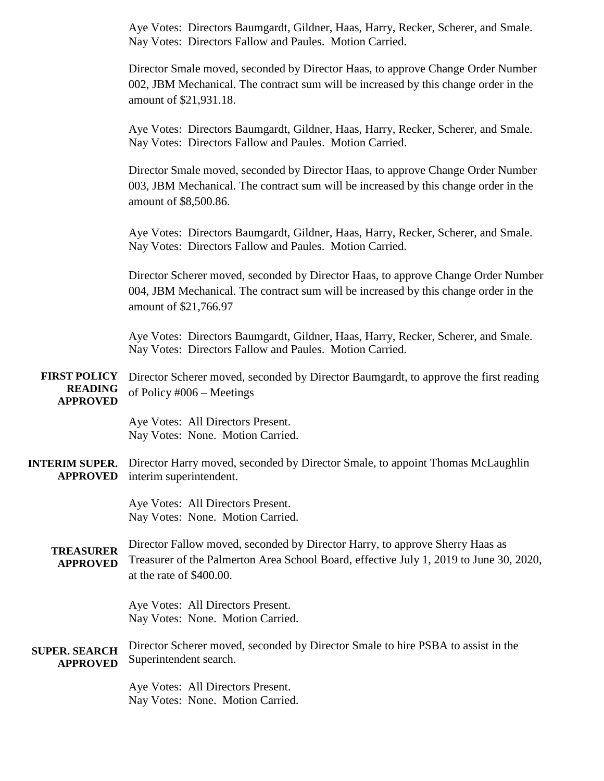Aye Votes: Directors Baumgardt, Gildner, Haas, Harry, Recker, Scherer, and Smale. Nay Votes: Directors Fallow and Paules. Motion Carried.

Director Smale moved, seconded by Director Haas, to approve Change Order Number 002, JBM Mechanical. The contract sum will be increased by this change order in the amount of \$21,931.18.

Aye Votes: Directors Baumgardt, Gildner, Haas, Harry, Recker, Scherer, and Smale. Nay Votes: Directors Fallow and Paules. Motion Carried.

Director Smale moved, seconded by Director Haas, to approve Change Order Number 003, JBM Mechanical. The contract sum will be increased by this change order in the amount of \$8,500.86.

Aye Votes: Directors Baumgardt, Gildner, Haas, Harry, Recker, Scherer, and Smale. Nay Votes: Directors Fallow and Paules. Motion Carried.

Director Scherer moved, seconded by Director Haas, to approve Change Order Number 004, JBM Mechanical. The contract sum will be increased by this change order in the amount of \$21,766.97

Aye Votes: Directors Baumgardt, Gildner, Haas, Harry, Recker, Scherer, and Smale. Nay Votes: Directors Fallow and Paules. Motion Carried.

**FIRST POLICY READING APPROVED** Director Scherer moved, seconded by Director Baumgardt, to approve the first reading of Policy #006 – Meetings

> Aye Votes: All Directors Present. Nay Votes: None. Motion Carried.

#### **INTERIM SUPER. APPROVED** Director Harry moved, seconded by Director Smale, to appoint Thomas McLaughlin interim superintendent.

Aye Votes: All Directors Present. Nay Votes: None. Motion Carried.

**TREASURER APPROVED** Director Fallow moved, seconded by Director Harry, to approve Sherry Haas as Treasurer of the Palmerton Area School Board, effective July 1, 2019 to June 30, 2020, at the rate of \$400.00.

> Aye Votes: All Directors Present. Nay Votes: None. Motion Carried.

**SUPER. SEARCH APPROVED** Director Scherer moved, seconded by Director Smale to hire PSBA to assist in the Superintendent search.

> Aye Votes: All Directors Present. Nay Votes: None. Motion Carried.